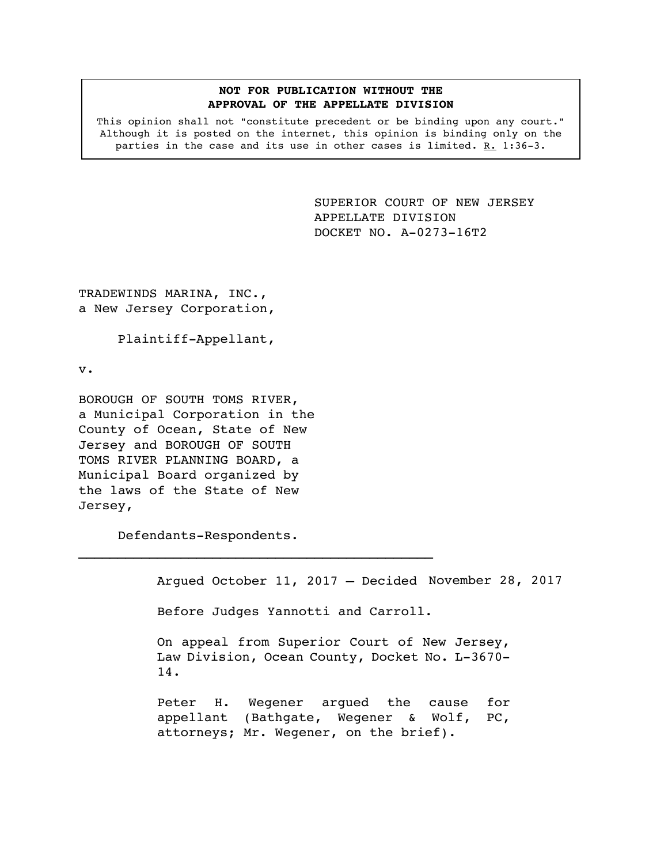### **NOT FOR PUBLICATION WITHOUT THE APPROVAL OF THE APPELLATE DIVISION**

This opinion shall not "constitute precedent or be binding upon any court." Although it is posted on the internet, this opinion is binding only on the parties in the case and its use in other cases is limited. R. 1:36-3.

> <span id="page-0-0"></span>SUPERIOR COURT OF NEW JERSEY APPELLATE DIVISION DOCKET NO. A-0273-16T2

TRADEWINDS MARINA, INC., a New Jersey Corporation,

Plaintiff-Appellant,

v.

BOROUGH OF SOUTH TOMS RIVER, a Municipal Corporation in the County of Ocean, State of New Jersey and BOROUGH OF SOUTH TOMS RIVER PLANNING BOARD, a Municipal Board organized by the laws of the State of New Jersey,

Defendants-Respondents.

 $\mathcal{L}_\text{max}$  and the contract of the contract of the contract of the contract of the contract of the contract of the contract of the contract of the contract of the contract of the contract of the contract of the contrac

Argued October 11, 2017 – Decided November 28, 2017

Before Judges Yannotti and Carroll.

On appeal from Superior Court of New Jersey, Law Division, Ocean County, Docket No. L-3670- 14.

Peter H. Wegener argued the cause for appellant (Bathgate, Wegener & Wolf, PC, attorneys; Mr. Wegener, on the brief).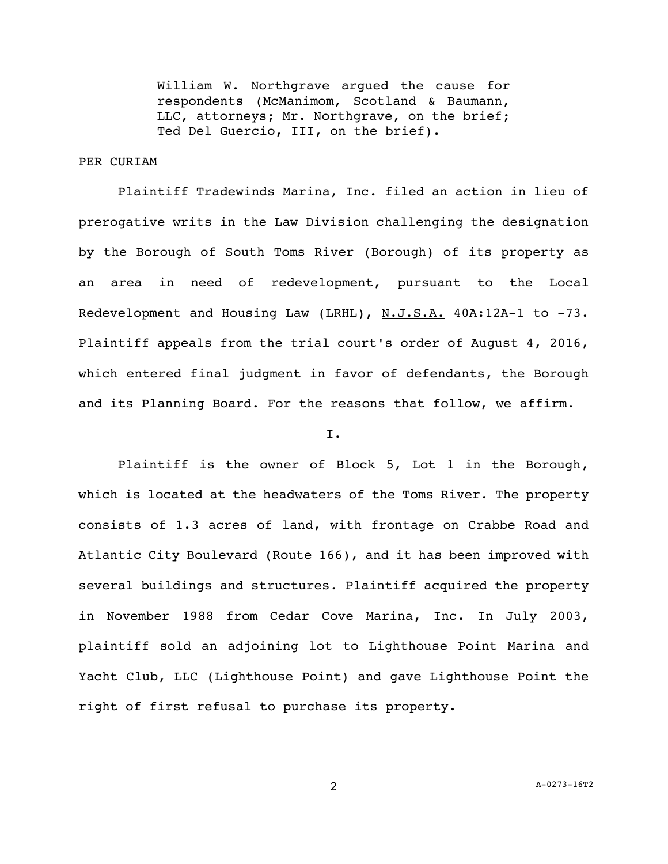William W. Northgrave argued the cause for respondents (McManimom, Scotland & Baumann, LLC, attorneys; Mr. Northgrave, on the brief; Ted Del Guercio, III, on the brief).

### PER CURIAM

Plaintiff Tradewinds Marina, Inc. filed an action in lieu of prerogative writs in the Law Division challenging the designation by the Borough of South Toms River (Borough) of its property as an area in need of redevelopment, pursuant to the Local Redevelopment and Housing Law (LRHL), N.J.S.A. 40A:12A-1 to -73. Plaintiff appeals from the trial court's order of August 4, 2016, which entered final judgment in favor of defendants, the Borough and its Planning Board. For the reasons that follow, we affirm.

### I.

Plaintiff is the owner of Block 5, Lot 1 in the Borough, which is located at the headwaters of the Toms River. The property consists of 1.3 acres of land, with frontage on Crabbe Road and Atlantic City Boulevard (Route 166), and it has been improved with several buildings and structures. Plaintiff acquired the property in November 1988 from Cedar Cove Marina, Inc. In July 2003, plaintiff sold an adjoining lot to Lighthouse Point Marina and Yacht Club, LLC (Lighthouse Point) and gave Lighthouse Point the right of first refusal to purchase its property.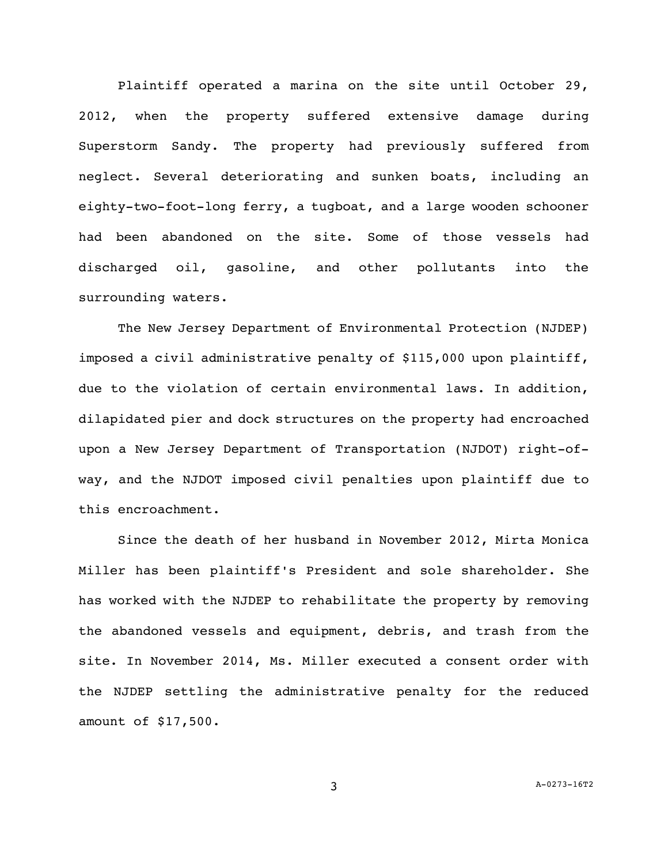Plaintiff operated a marina on the site until October 29, 2012, when the property suffered extensive damage during Superstorm Sandy. The property had previously suffered from neglect. Several deteriorating and sunken boats, including an eighty-two-foot-long ferry, a tugboat, and a large wooden schooner had been abandoned on the site. Some of those vessels had discharged oil, gasoline, and other pollutants into the surrounding waters.

The New Jersey Department of Environmental Protection (NJDEP) imposed a civil administrative penalty of \$115,000 upon plaintiff, due to the violation of certain environmental laws. In addition, dilapidated pier and dock structures on the property had encroached upon a New Jersey Department of Transportation (NJDOT) right-ofway, and the NJDOT imposed civil penalties upon plaintiff due to this encroachment.

Since the death of her husband in November 2012, Mirta Monica Miller has been plaintiff's President and sole shareholder. She has worked with the NJDEP to rehabilitate the property by removing the abandoned vessels and equipment, debris, and trash from the site. In November 2014, Ms. Miller executed a consent order with the NJDEP settling the administrative penalty for the reduced amount of \$17,500.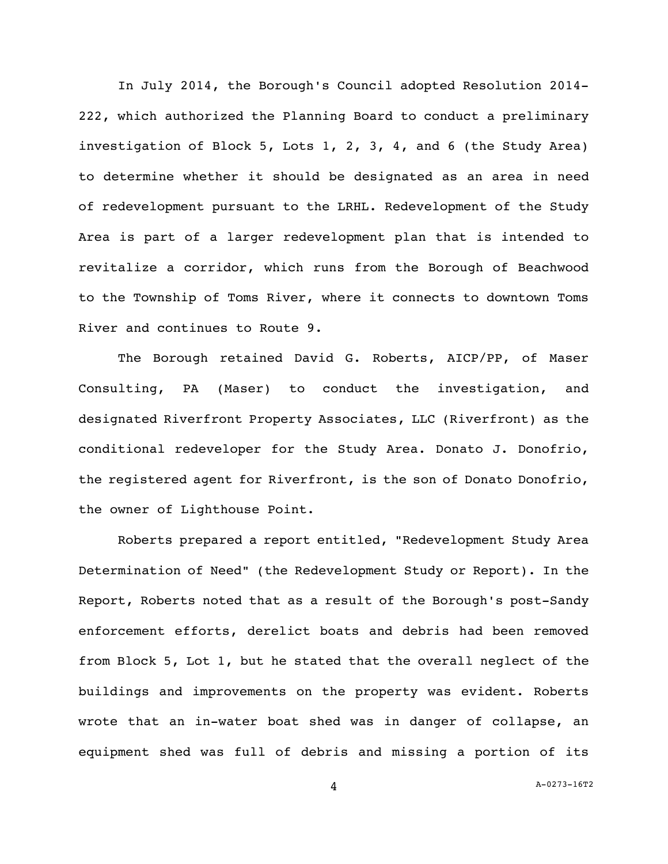In July 2014, the Borough's Council adopted Resolution 2014- 222, which authorized the Planning Board to conduct a preliminary investigation of Block 5, Lots 1, 2, 3, 4, and 6 (the Study Area) to determine whether it should be designated as an area in need of redevelopment pursuant to the LRHL. Redevelopment of the Study Area is part of a larger redevelopment plan that is intended to revitalize a corridor, which runs from the Borough of Beachwood to the Township of Toms River, where it connects to downtown Toms River and continues to Route 9.

The Borough retained David G. Roberts, AICP/PP, of Maser Consulting, PA (Maser) to conduct the investigation, and designated Riverfront Property Associates, LLC (Riverfront) as the conditional redeveloper for the Study Area. Donato J. Donofrio, the registered agent for Riverfront, is the son of Donato Donofrio, the owner of Lighthouse Point.

Roberts prepared a report entitled, "Redevelopment Study Area Determination of Need" (the Redevelopment Study or Report). In the Report, Roberts noted that as a result of the Borough's post-Sandy enforcement efforts, derelict boats and debris had been removed from Block 5, Lot 1, but he stated that the overall neglect of the buildings and improvements on the property was evident. Roberts wrote that an in-water boat shed was in danger of collapse, an equipment shed was full of debris and missing a portion of its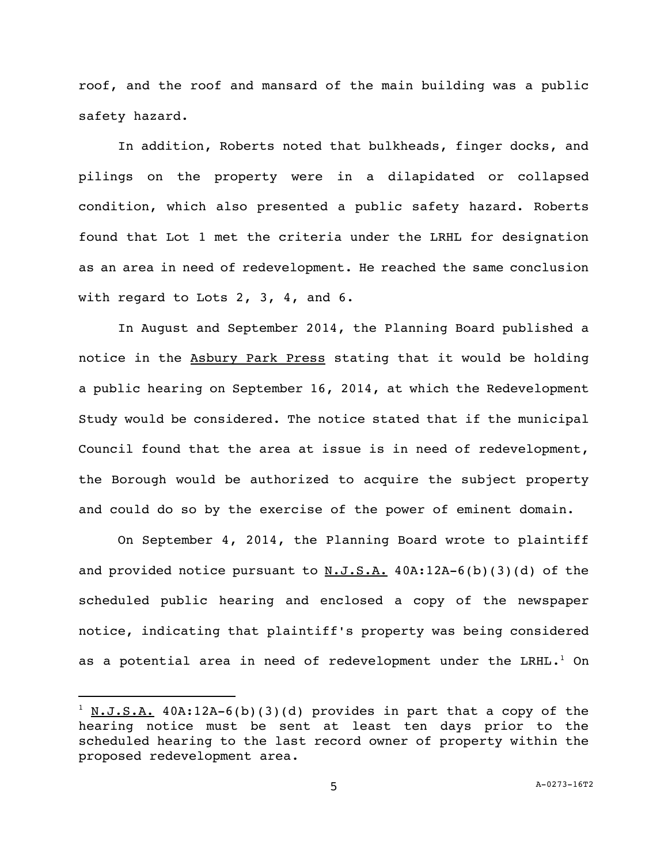roof, and the roof and mansard of the main building was a public safety hazard.

In addition, Roberts noted that bulkheads, finger docks, and pilings on the property were in a dilapidated or collapsed condition, which also presented a public safety hazard. Roberts found that Lot 1 met the criteria under the LRHL for designation as an area in need of redevelopment. He reached the same conclusion with regard to Lots 2, 3, 4, and 6.

In August and September 2014, the Planning Board published a notice in the Asbury Park Press stating that it would be holding a public hearing on September 16, 2014, at which the Redevelopment Study would be considered. The notice stated that if the municipal Council found that the area at issue is in need of redevelopment, the Borough would be authorized to acquire the subject property and could do so by the exercise of the power of eminent domain.

On September 4, 2014, the Planning Board wrote to plaintiff and provided notice pursuant to  $N.J.S.A.$  40A:12A-6(b)(3)(d) of the scheduled public hearing and enclosed a copy of the newspaper notice, indicating that plaintiff's property was being considered as a potential area in need of redevelopment under the LRHL.<sup>1</sup> On

i<br>L

 $1$  N.J.S.A. 40A:12A-6(b)(3)(d) provides in part that a copy of the hearing notice must be sent at least ten days prior to the scheduled hearing to the last record owner of property within the proposed redevelopment area.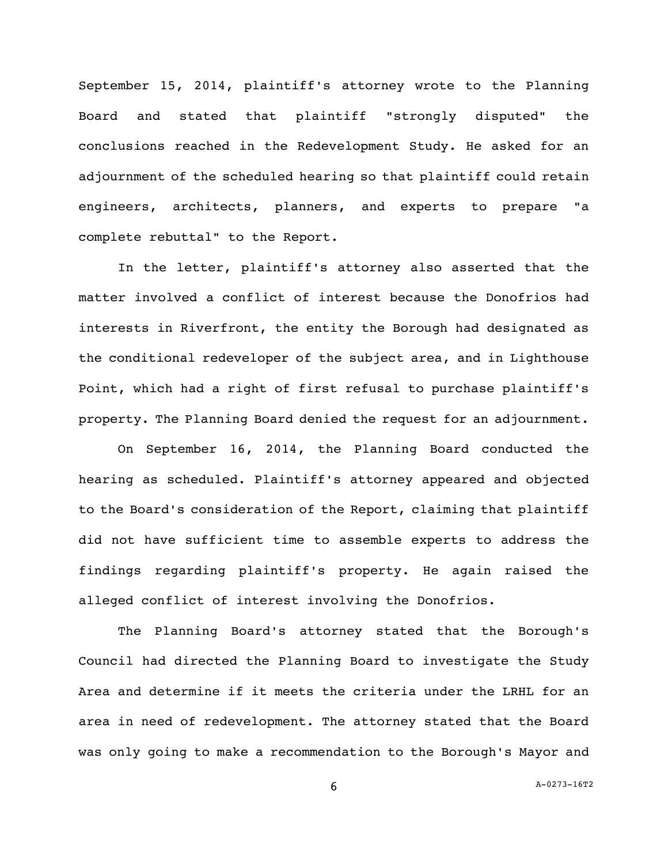September 15, 2014, plaintiff's attorney wrote to the Planning Board and stated that plaintiff "strongly disputed" the conclusions reached in the Redevelopment Study. He asked for an adjournment of the scheduled hearing so that plaintiff could retain engineers, architects, planners, and experts to prepare "a complete rebuttal" to the Report.

In the letter, plaintiff's attorney also asserted that the matter involved a conflict of interest because the Donofrios had interests in Riverfront, the entity the Borough had designated as the conditional redeveloper of the subject area, and in Lighthouse Point, which had a right of first refusal to purchase plaintiff's property. The Planning Board denied the request for an adjournment.

On September 16, 2014, the Planning Board conducted the hearing as scheduled. Plaintiff's attorney appeared and objected to the Board's consideration of the Report, claiming that plaintiff did not have sufficient time to assemble experts to address the findings regarding plaintiff's property. He again raised the alleged conflict of interest involving the Donofrios.

The Planning Board's attorney stated that the Borough's Council had directed the Planning Board to investigate the Study Area and determine if it meets the criteria under the LRHL for an area in need of redevelopment. The attorney stated that the Board was only going to make a recommendation to the Borough's Mayor and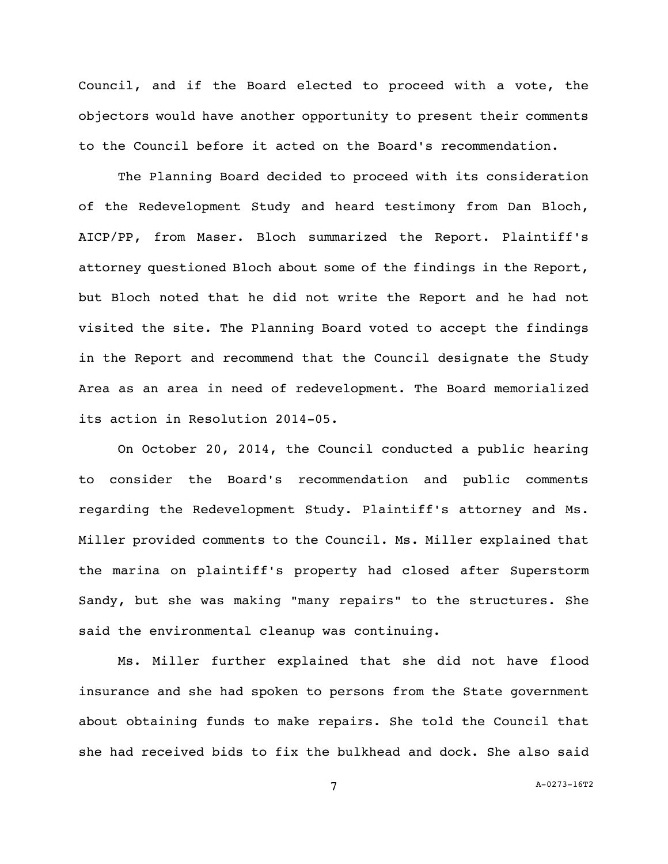Council, and if the Board elected to proceed with a vote, the objectors would have another opportunity to present their comments to the Council before it acted on the Board's recommendation.

The Planning Board decided to proceed with its consideration of the Redevelopment Study and heard testimony from Dan Bloch, AICP/PP, from Maser. Bloch summarized the Report. Plaintiff's attorney questioned Bloch about some of the findings in the Report, but Bloch noted that he did not write the Report and he had not visited the site. The Planning Board voted to accept the findings in the Report and recommend that the Council designate the Study Area as an area in need of redevelopment. The Board memorialized its action in Resolution 2014-05.

On October 20, 2014, the Council conducted a public hearing to consider the Board's recommendation and public comments regarding the Redevelopment Study. Plaintiff's attorney and Ms. Miller provided comments to the Council. Ms. Miller explained that the marina on plaintiff's property had closed after Superstorm Sandy, but she was making "many repairs" to the structures. She said the environmental cleanup was continuing.

Ms. Miller further explained that she did not have flood insurance and she had spoken to persons from the State government about obtaining funds to make repairs. She told the Council that she had received bids to fix the bulkhead and dock. She also said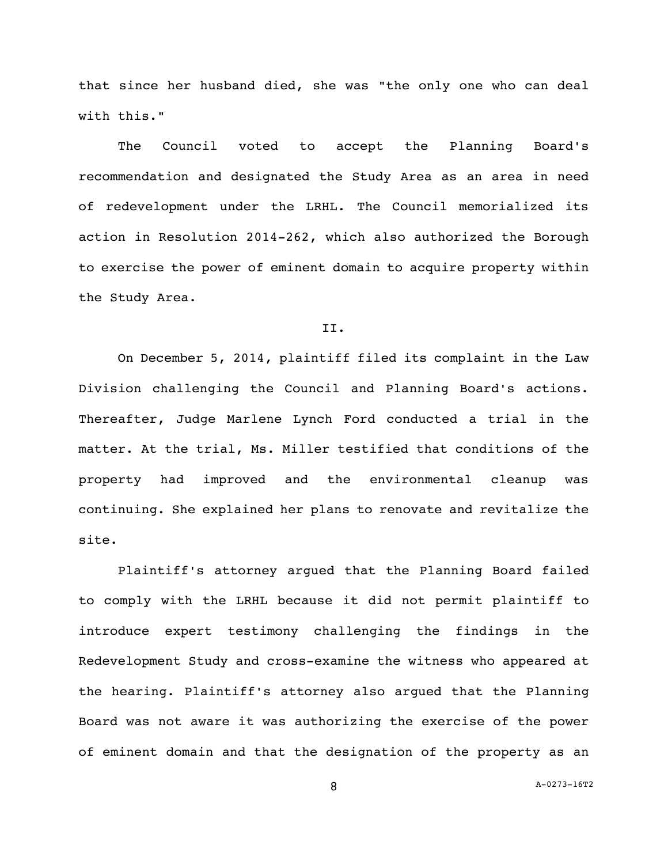that since her husband died, she was "the only one who can deal with this."

The Council voted to accept the Planning Board's recommendation and designated the Study Area as an area in need of redevelopment under the LRHL. The Council memorialized its action in Resolution 2014-262, which also authorized the Borough to exercise the power of eminent domain to acquire property within the Study Area.

## II.

On December 5, 2014, plaintiff filed its complaint in the Law Division challenging the Council and Planning Board's actions. Thereafter, Judge Marlene Lynch Ford conducted a trial in the matter. At the trial, Ms. Miller testified that conditions of the property had improved and the environmental cleanup was continuing. She explained her plans to renovate and revitalize the site.

Plaintiff's attorney argued that the Planning Board failed to comply with the LRHL because it did not permit plaintiff to introduce expert testimony challenging the findings in the Redevelopment Study and cross-examine the witness who appeared at the hearing. Plaintiff's attorney also argued that the Planning Board was not aware it was authorizing the exercise of the power of eminent domain and that the designation of the property as an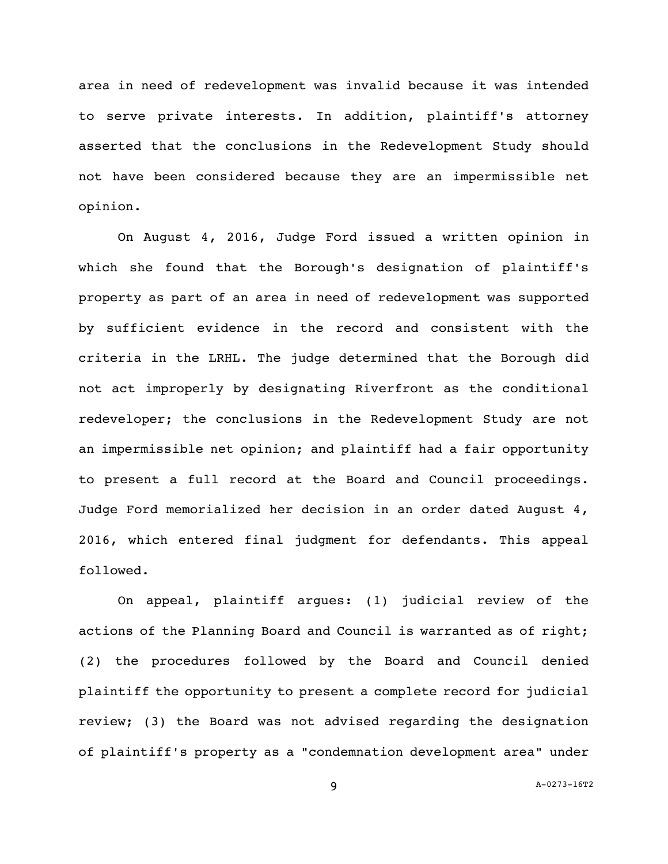area in need of redevelopment was invalid because it was intended to serve private interests. In addition, plaintiff's attorney asserted that the conclusions in the Redevelopment Study should not have been considered because they are an impermissible net opinion.

On August 4, 2016, Judge Ford issued a written opinion in which she found that the Borough's designation of plaintiff's property as part of an area in need of redevelopment was supported by sufficient evidence in the record and consistent with the criteria in the LRHL. The judge determined that the Borough did not act improperly by designating Riverfront as the conditional redeveloper; the conclusions in the Redevelopment Study are not an impermissible net opinion; and plaintiff had a fair opportunity to present a full record at the Board and Council proceedings. Judge Ford memorialized her decision in an order dated August 4, 2016, which entered final judgment for defendants. This appeal followed.

On appeal, plaintiff argues: (1) judicial review of the actions of the Planning Board and Council is warranted as of right; (2) the procedures followed by the Board and Council denied plaintiff the opportunity to present a complete record for judicial review; (3) the Board was not advised regarding the designation of plaintiff's property as a "condemnation development area" under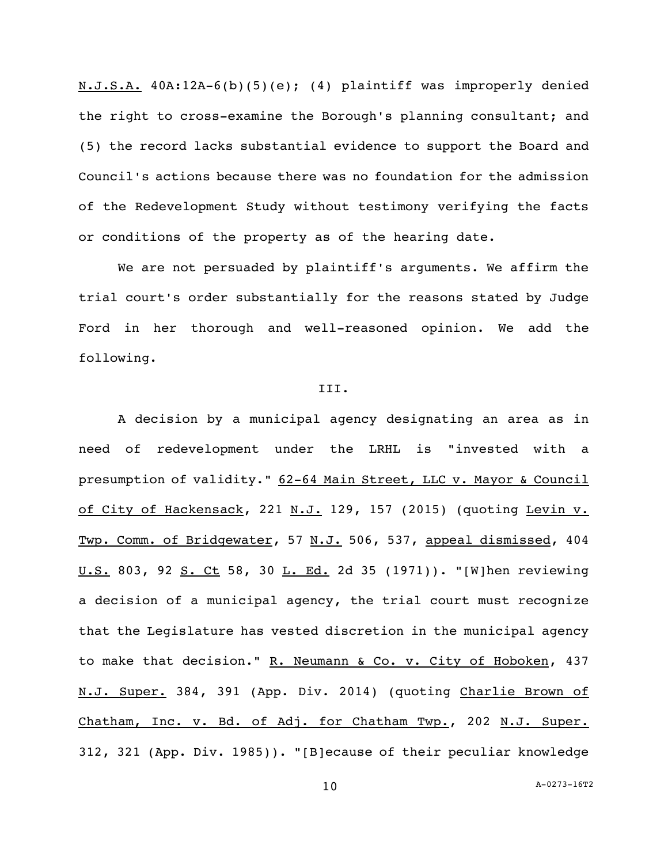N.J.S.A. 40A:12A-6(b)(5)(e); (4) plaintiff was improperly denied the right to cross-examine the Borough's planning consultant; and (5) the record lacks substantial evidence to support the Board and Council's actions because there was no foundation for the admission of the Redevelopment Study without testimony verifying the facts or conditions of the property as of the hearing date.

We are not persuaded by plaintiff's arguments. We affirm the trial court's order substantially for the reasons stated by Judge Ford in her thorough and well-reasoned opinion. We add the following.

### III.

A decision by a municipal agency designating an area as in need of redevelopment under the LRHL is "invested with a presumption of validity." 62-64 Main Street, LLC v. Mayor & Council of City of Hackensack, 221 N.J. 129, 157 (2015) (quoting Levin v. Twp. Comm. of Bridgewater, 57 N.J. 506, 537, appeal dismissed, 404 U.S. 803, 92 S. Ct 58, 30 L. Ed. 2d 35 (1971)). "[W]hen reviewing a decision of a municipal agency, the trial court must recognize that the Legislature has vested discretion in the municipal agency to make that decision." R. Neumann & Co. v. City of Hoboken, 437 N.J. Super. 384, 391 (App. Div. 2014) (quoting Charlie Brown of Chatham, Inc. v. Bd. of Adj. for Chatham Twp., 202 N.J. Super. 312, 321 (App. Div. 1985)). "[B]ecause of their peculiar knowledge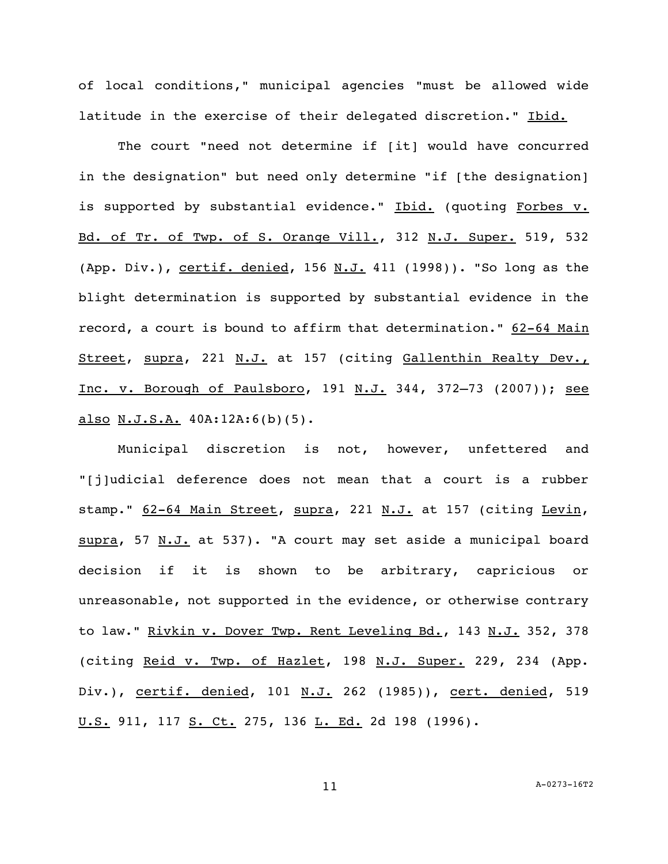of local conditions," municipal agencies "must be allowed wide latitude in the exercise of their delegated discretion." Ibid.

The court "need not determine if [it] would have concurred in the designation" but need only determine "if [the designation] is supported by substantial evidence." Ibid. (quoting Forbes v. Bd. of Tr. of Twp. of S. Orange Vill., 312 N.J. Super. 519, 532 (App. Div.), certif. denied, 156  $N.J.$  411 (1998)). "So long as the blight determination is supported by substantial evidence in the record, a court is bound to affirm that determination." 62-64 Main Street, supra, 221 N.J. at 157 (citing Gallenthin Realty Dev., Inc. v. Borough of Paulsboro, 191 N.J. 344, 372–73 (2007)); see also N.J.S.A. 40A:12A:6(b)(5).

Municipal discretion is not, however, unfettered and "[j]udicial deference does not mean that a court is a rubber stamp." 62-64 Main Street, supra, 221 N.J. at 157 (citing Levin, supra, 57 N.J. at 537). "A court may set aside a municipal board decision if it is shown to be arbitrary, capricious or unreasonable, not supported in the evidence, or otherwise contrary to law." Rivkin v. Dover Twp. Rent Leveling Bd., 143 N.J. 352, 378 (citing Reid v. Twp. of Hazlet, 198 N.J. Super. 229, 234 (App. Div.), certif. denied, 101 N.J. 262 (1985)), cert. denied, 519 U.S. 911, 117 S. Ct. 275, 136 L. Ed. 2d 198 (1996).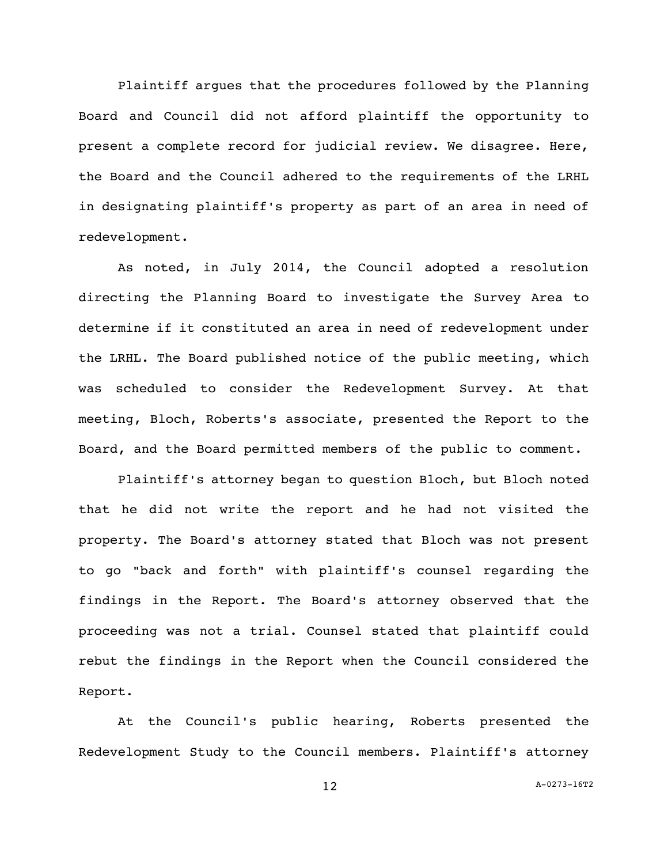Plaintiff argues that the procedures followed by the Planning Board and Council did not afford plaintiff the opportunity to present a complete record for judicial review. We disagree. Here, the Board and the Council adhered to the requirements of the LRHL in designating plaintiff's property as part of an area in need of redevelopment.

As noted, in July 2014, the Council adopted a resolution directing the Planning Board to investigate the Survey Area to determine if it constituted an area in need of redevelopment under the LRHL. The Board published notice of the public meeting, which was scheduled to consider the Redevelopment Survey. At that meeting, Bloch, Roberts's associate, presented the Report to the Board, and the Board permitted members of the public to comment.

Plaintiff's attorney began to question Bloch, but Bloch noted that he did not write the report and he had not visited the property. The Board's attorney stated that Bloch was not present to go "back and forth" with plaintiff's counsel regarding the findings in the Report. The Board's attorney observed that the proceeding was not a trial. Counsel stated that plaintiff could rebut the findings in the Report when the Council considered the Report.

At the Council's public hearing, Roberts presented the Redevelopment Study to the Council members. Plaintiff's attorney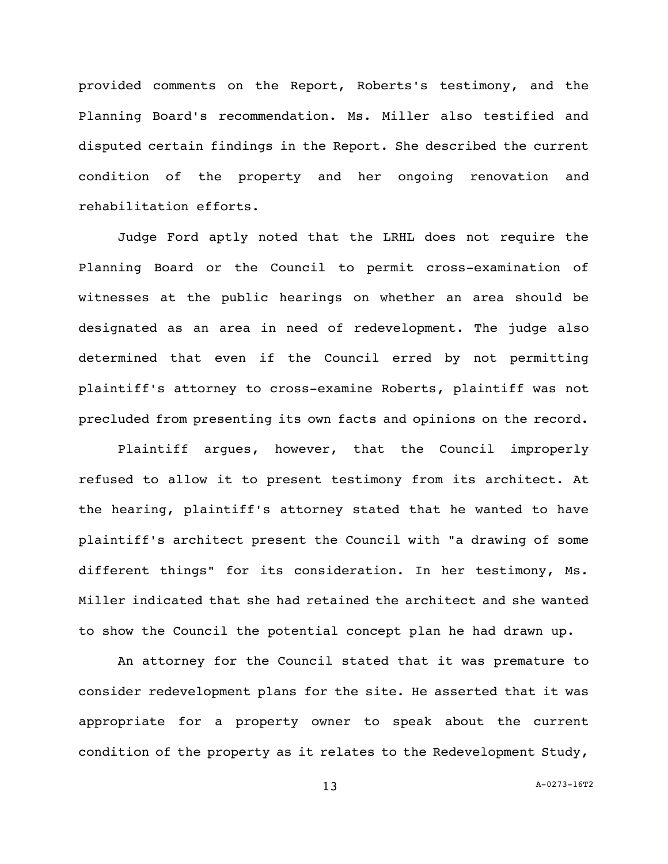provided comments on the Report, Roberts's testimony, and the Planning Board's recommendation. Ms. Miller also testified and disputed certain findings in the Report. She described the current condition of the property and her ongoing renovation and rehabilitation efforts.

Judge Ford aptly noted that the LRHL does not require the Planning Board or the Council to permit cross-examination of witnesses at the public hearings on whether an area should be designated as an area in need of redevelopment. The judge also determined that even if the Council erred by not permitting plaintiff's attorney to cross-examine Roberts, plaintiff was not precluded from presenting its own facts and opinions on the record.

Plaintiff argues, however, that the Council improperly refused to allow it to present testimony from its architect. At the hearing, plaintiff's attorney stated that he wanted to have plaintiff's architect present the Council with "a drawing of some different things" for its consideration. In her testimony, Ms. Miller indicated that she had retained the architect and she wanted to show the Council the potential concept plan he had drawn up.

An attorney for the Council stated that it was premature to consider redevelopment plans for the site. He asserted that it was appropriate for a property owner to speak about the current condition of the property as it relates to the Redevelopment Study,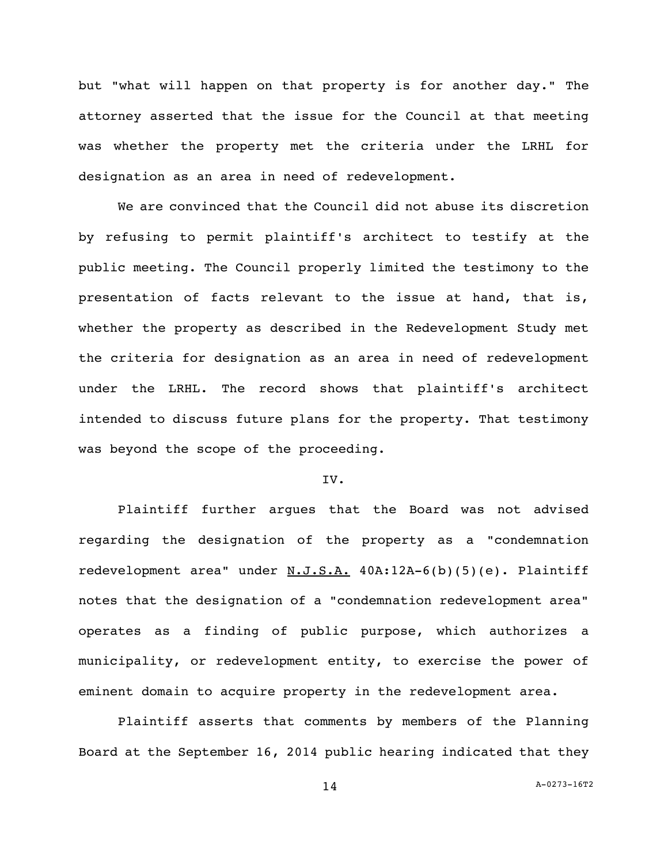but "what will happen on that property is for another day." The attorney asserted that the issue for the Council at that meeting was whether the property met the criteria under the LRHL for designation as an area in need of redevelopment.

We are convinced that the Council did not abuse its discretion by refusing to permit plaintiff's architect to testify at the public meeting. The Council properly limited the testimony to the presentation of facts relevant to the issue at hand, that is, whether the property as described in the Redevelopment Study met the criteria for designation as an area in need of redevelopment under the LRHL. The record shows that plaintiff's architect intended to discuss future plans for the property. That testimony was beyond the scope of the proceeding.

# IV.

Plaintiff further argues that the Board was not advised regarding the designation of the property as a "condemnation redevelopment area" under  $N.J.S.A. 40A:12A-6(b)(5)(e)$ . Plaintiff notes that the designation of a "condemnation redevelopment area" operates as a finding of public purpose, which authorizes a municipality, or redevelopment entity, to exercise the power of eminent domain to acquire property in the redevelopment area.

Plaintiff asserts that comments by members of the Planning Board at the September 16, 2014 public hearing indicated that they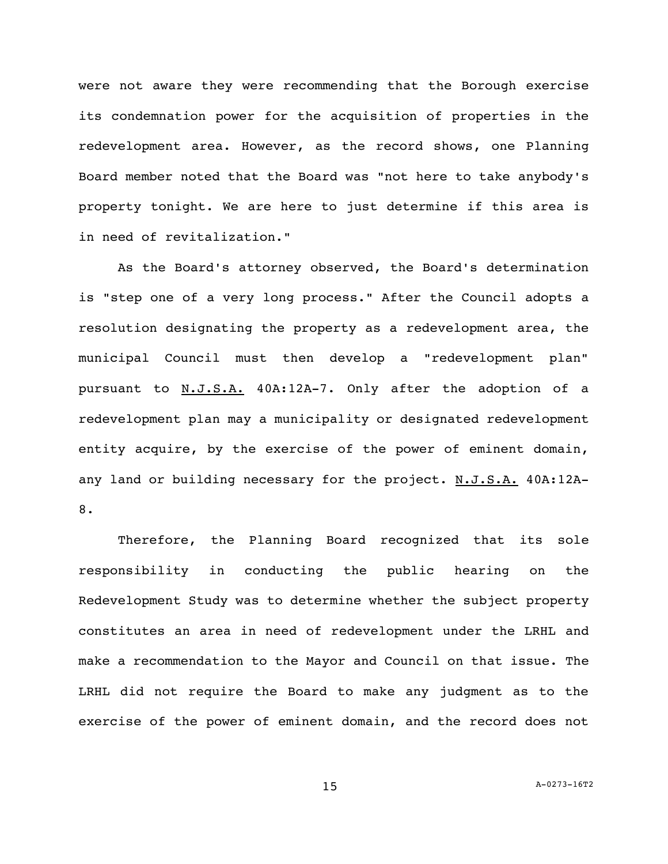were not aware they were recommending that the Borough exercise its condemnation power for the acquisition of properties in the redevelopment area. However, as the record shows, one Planning Board member noted that the Board was "not here to take anybody's property tonight. We are here to just determine if this area is in need of revitalization."

As the Board's attorney observed, the Board's determination is "step one of a very long process." After the Council adopts a resolution designating the property as a redevelopment area, the municipal Council must then develop a "redevelopment plan" pursuant to N.J.S.A. 40A:12A-7. Only after the adoption of a redevelopment plan may a municipality or designated redevelopment entity acquire, by the exercise of the power of eminent domain, any land or building necessary for the project. N.J.S.A. 40A:12A-8.

Therefore, the Planning Board recognized that its sole responsibility in conducting the public hearing on the Redevelopment Study was to determine whether the subject property constitutes an area in need of redevelopment under the LRHL and make a recommendation to the Mayor and Council on that issue. The LRHL did not require the Board to make any judgment as to the exercise of the power of eminent domain, and the record does not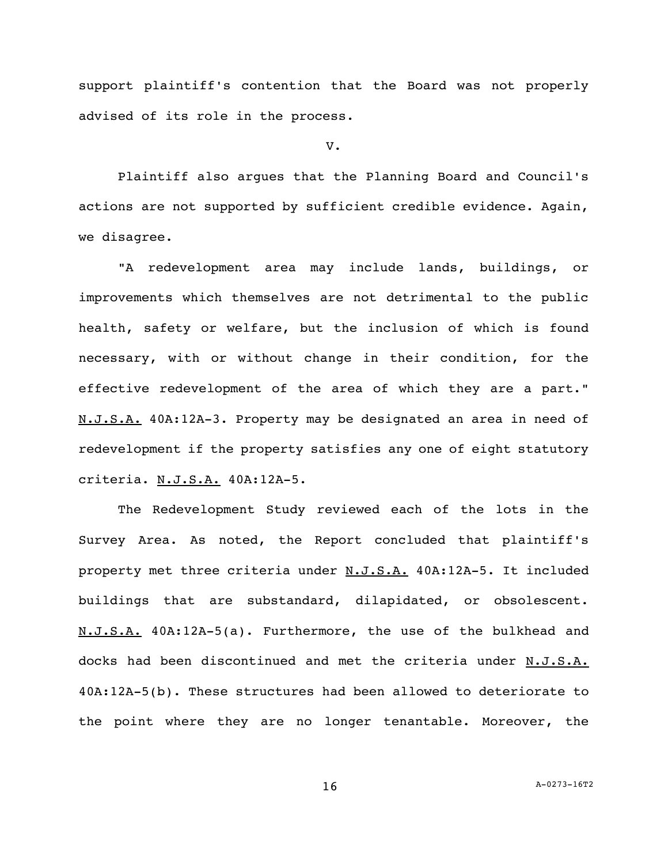support plaintiff's contention that the Board was not properly advised of its role in the process.

V.

Plaintiff also argues that the Planning Board and Council's actions are not supported by sufficient credible evidence. Again, we disagree.

"A redevelopment area may include lands, buildings, or improvements which themselves are not detrimental to the public health, safety or welfare, but the inclusion of which is found necessary, with or without change in their condition, for the effective redevelopment of the area of which they are a part." N.J.S.A. 40A:12A-3. Property may be designated an area in need of redevelopment if the property satisfies any one of eight statutory criteria. N.J.S.A. 40A:12A-5.

The Redevelopment Study reviewed each of the lots in the Survey Area. As noted, the Report concluded that plaintiff's property met three criteria under N.J.S.A. 40A:12A-5. It included buildings that are substandard, dilapidated, or obsolescent. N.J.S.A. 40A:12A-5(a). Furthermore, the use of the bulkhead and docks had been discontinued and met the criteria under N.J.S.A. 40A:12A-5(b). These structures had been allowed to deteriorate to the point where they are no longer tenantable. Moreover, the